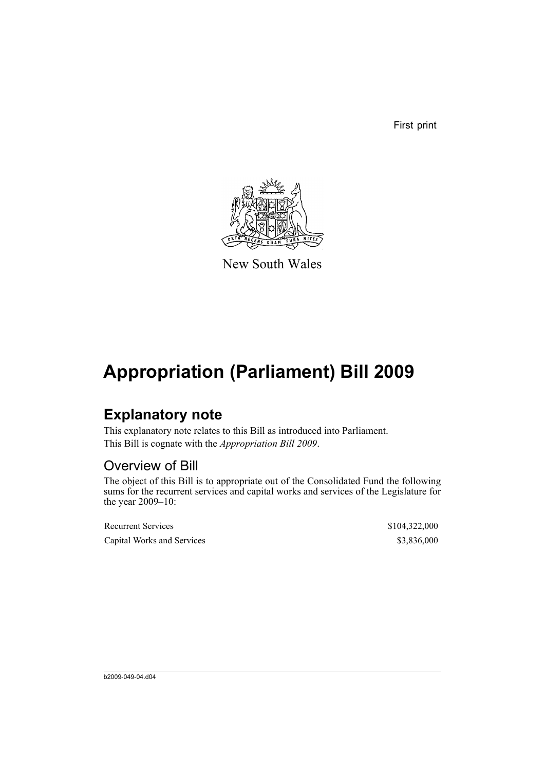First print



New South Wales

## **Appropriation (Parliament) Bill 2009**

### **Explanatory note**

This explanatory note relates to this Bill as introduced into Parliament. This Bill is cognate with the *Appropriation Bill 2009*.

### Overview of Bill

The object of this Bill is to appropriate out of the Consolidated Fund the following sums for the recurrent services and capital works and services of the Legislature for the year 2009–10:

Recurrent Services  $$104,322,000$ Capital Works and Services \$3,836,000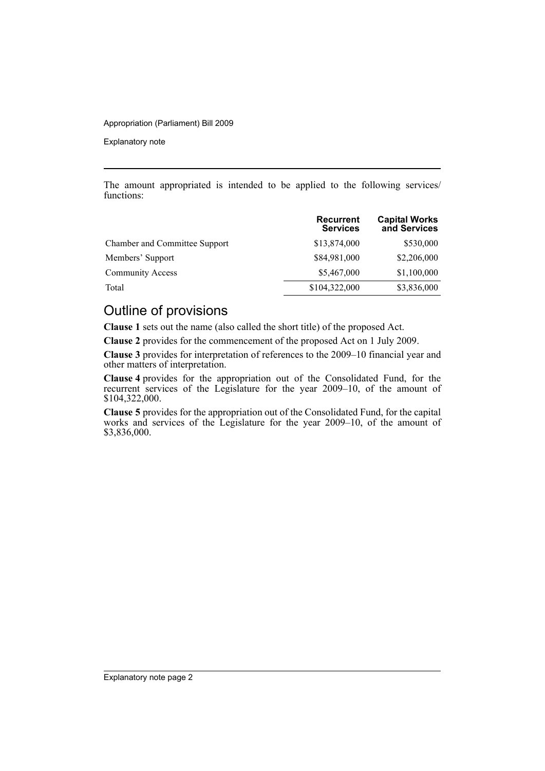#### Appropriation (Parliament) Bill 2009

Explanatory note

The amount appropriated is intended to be applied to the following services/ functions:

|                                      | <b>Recurrent</b><br><b>Services</b> | <b>Capital Works</b><br>and Services |
|--------------------------------------|-------------------------------------|--------------------------------------|
| <b>Chamber and Committee Support</b> | \$13,874,000                        | \$530,000                            |
| Members' Support                     | \$84,981,000                        | \$2,206,000                          |
| <b>Community Access</b>              | \$5,467,000                         | \$1,100,000                          |
| Total                                | \$104,322,000                       | \$3,836,000                          |

### Outline of provisions

**Clause 1** sets out the name (also called the short title) of the proposed Act.

**Clause 2** provides for the commencement of the proposed Act on 1 July 2009.

**Clause 3** provides for interpretation of references to the 2009–10 financial year and other matters of interpretation.

**Clause 4** provides for the appropriation out of the Consolidated Fund, for the recurrent services of the Legislature for the year 2009–10, of the amount of \$104,322,000.

**Clause 5** provides for the appropriation out of the Consolidated Fund, for the capital works and services of the Legislature for the year 2009–10, of the amount of \$3,836,000.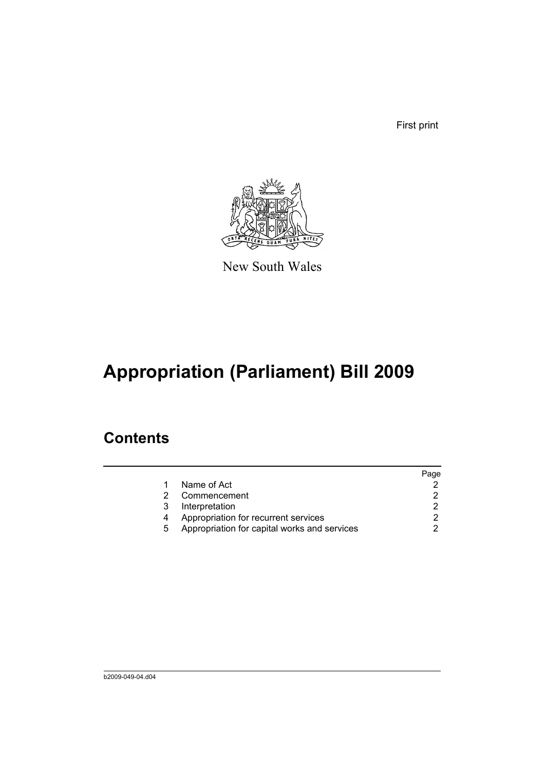First print



New South Wales

# **Appropriation (Parliament) Bill 2009**

### **Contents**

|   |                                              | Page |
|---|----------------------------------------------|------|
|   | Name of Act                                  |      |
|   | Commencement                                 |      |
| 3 | Interpretation                               |      |
|   | Appropriation for recurrent services         |      |
| 5 | Appropriation for capital works and services |      |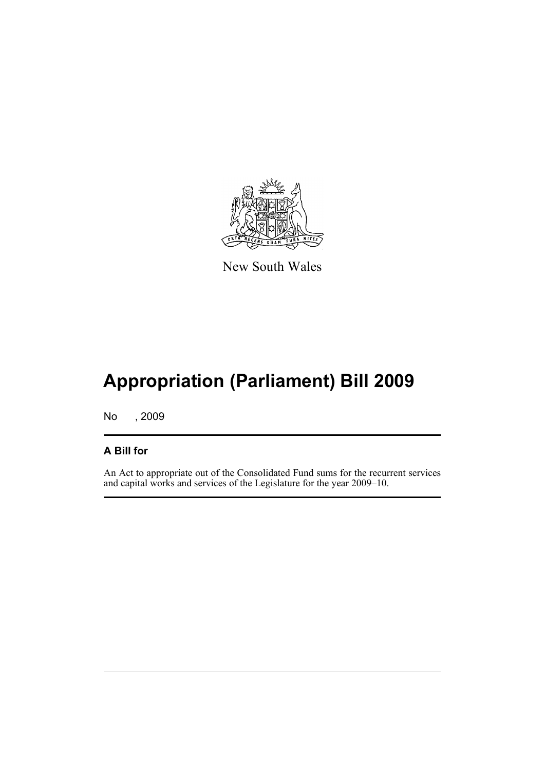

New South Wales

# **Appropriation (Parliament) Bill 2009**

No , 2009

#### **A Bill for**

An Act to appropriate out of the Consolidated Fund sums for the recurrent services and capital works and services of the Legislature for the year 2009–10.